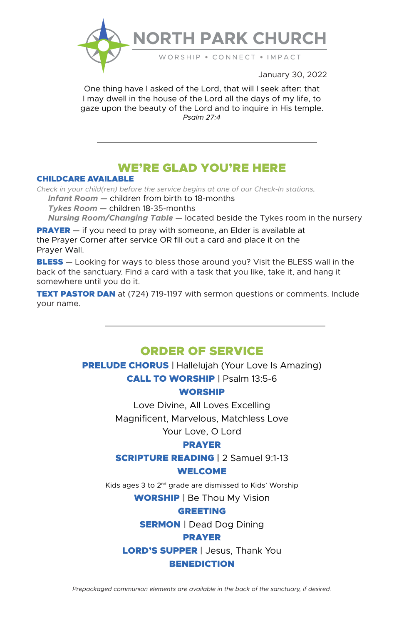

January 30, 2022

One thing have I asked of the Lord, that will I seek after: that I may dwell in the house of the Lord all the days of my life, to gaze upon the beauty of the Lord and to inquire in His temple. *Psalm 27:4*

# WE'RE GLAD YOU'RE HERE

### CHILDCARE AVAILABLE

*Check in your child(ren) before the service begins at one of our Check-In stations.*

 *Infant Room* — children from birth to 18-months

 *Tykes Room* — children 18-35-months

 *Nursing Room/Changing Table* — located beside the Tykes room in the nursery

**PRAYER** — if you need to pray with someone, an Elder is available at the Prayer Corner after service OR fill out a card and place it on the Prayer Wall.

**BLESS** — Looking for ways to bless those around you? Visit the BLESS wall in the back of the sanctuary. Find a card with a task that you like, take it, and hang it somewhere until you do it.

**TEXT PASTOR DAN** at (724) 719-1197 with sermon questions or comments. Include your name.

## ORDER OF SERVICE

**PRELUDE CHORUS** | Hallelujah (Your Love Is Amazing) CALL TO WORSHIP | Psalm 13:5-6

### WORSHIP

Love Divine, All Loves Excelling Magnificent, Marvelous, Matchless Love

Your Love, O Lord

## PRAYER

**SCRIPTURE READING | 2 Samuel 9:1-13** 

## WELCOME

Kids ages 3 to 2nd grade are dismissed to Kids' Worship WORSHIP | Be Thou My Vision

## GREETING

**SERMON** | Dead Dog Dining

## PRAYER

LORD'S SUPPER | Jesus, Thank You

### **BENEDICTION**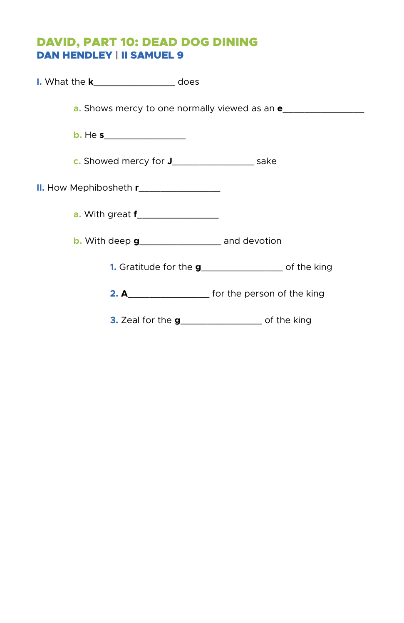# DAVID, PART 10: DEAD DOG DINING DAN HENDLEY | II SAMUEL 9

| I. What the <b>k_________________</b> does                         |
|--------------------------------------------------------------------|
| <b>a.</b> Shows mercy to one normally viewed as an <b>e</b>        |
|                                                                    |
| <b>c.</b> Showed mercy for <b>J________________</b> sake           |
|                                                                    |
|                                                                    |
| <b>b.</b> With deep $g$ ______________________ and devotion        |
| 1. Gratitude for the g_____________________ of the king            |
| 2. A______________________ for the person of the king              |
| <b>3.</b> Zeal for the <b>g</b> ______________________ of the king |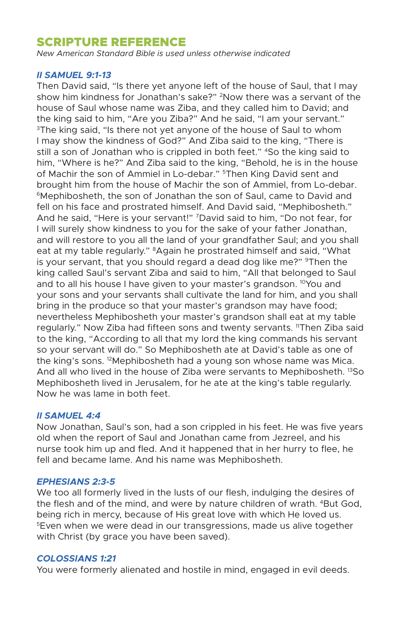## SCRIPTURE REFERENCE

*New American Standard Bible is used unless otherwise indicated* 

## *II SAMUEL 9:1-13*

Then David said, "Is there yet anyone left of the house of Saul, that I may show him kindness for Jonathan's sake?" 2Now there was a servant of the house of Saul whose name was Ziba, and they called him to David; and the king said to him, "Are you Ziba?" And he said, "I am your servant." <sup>3</sup>The king said, "Is there not yet anyone of the house of Saul to whom I may show the kindness of God?" And Ziba said to the king, "There is still a son of Jonathan who is crippled in both feet." 4So the king said to him, "Where is he?" And Ziba said to the king, "Behold, he is in the house of Machir the son of Ammiel in Lo-debar." <sup>5</sup>Then King David sent and brought him from the house of Machir the son of Ammiel, from Lo-debar. 6Mephibosheth, the son of Jonathan the son of Saul, came to David and fell on his face and prostrated himself. And David said, "Mephibosheth." And he said, "Here is your servant!" 7David said to him, "Do not fear, for I will surely show kindness to you for the sake of your father Jonathan, and will restore to you all the land of your grandfather Saul; and you shall eat at my table regularly." <sup>8</sup>Again he prostrated himself and said, "What is your servant, that you should regard a dead dog like me?" <sup>9</sup>Then the king called Saul's servant Ziba and said to him, "All that belonged to Saul and to all his house I have given to your master's grandson.  $10$ You and your sons and your servants shall cultivate the land for him, and you shall bring in the produce so that your master's grandson may have food; nevertheless Mephibosheth your master's grandson shall eat at my table regularly." Now Ziba had fifteen sons and twenty servants. 11Then Ziba said to the king, "According to all that my lord the king commands his servant so your servant will do." So Mephibosheth ate at David's table as one of the king's sons. 12Mephibosheth had a young son whose name was Mica. And all who lived in the house of Ziba were servants to Mephibosheth. <sup>13</sup>So Mephibosheth lived in Jerusalem, for he ate at the king's table regularly. Now he was lame in both feet.

## *II SAMUEL 4:4*

Now Jonathan, Saul's son, had a son crippled in his feet. He was five years old when the report of Saul and Jonathan came from Jezreel, and his nurse took him up and fled. And it happened that in her hurry to flee, he fell and became lame. And his name was Mephibosheth.

### *EPHESIANS 2:3-5*

We too all formerly lived in the lusts of our flesh, indulging the desires of the flesh and of the mind, and were by nature children of wrath. 4But God, being rich in mercy, because of His great love with which He loved us. 5Even when we were dead in our transgressions, made us alive together with Christ (by grace you have been saved).

### *COLOSSIANS 1:21*

You were formerly alienated and hostile in mind, engaged in evil deeds.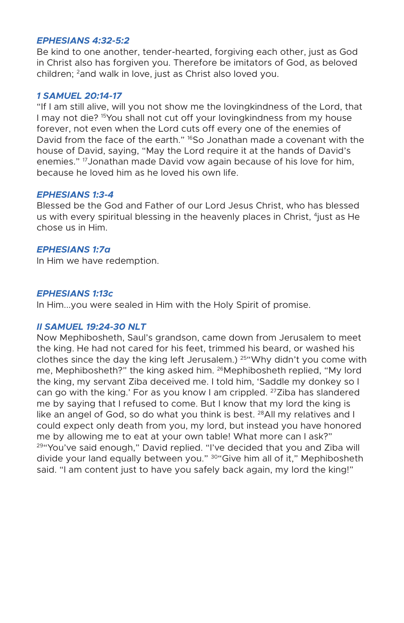## *EPHESIANS 4:32-5:2*

Be kind to one another, tender-hearted, forgiving each other, just as God in Christ also has forgiven you. Therefore be imitators of God, as beloved children; <sup>2</sup>and walk in love, just as Christ also loved you.

### *1 SAMUEL 20:14-17*

"If I am still alive, will you not show me the lovingkindness of the Lord, that I may not die? <sup>15</sup>You shall not cut off your lovingkindness from my house forever, not even when the Lord cuts off every one of the enemies of David from the face of the earth." <sup>16</sup>So Jonathan made a covenant with the house of David, saying, "May the Lord require it at the hands of David's enemies." 17Jonathan made David vow again because of his love for him, because he loved him as he loved his own life.

### *EPHESIANS 1:3-4*

Blessed be the God and Father of our Lord Jesus Christ, who has blessed us with every spiritual blessing in the heavenly places in Christ, <sup>4</sup>just as He chose us in Him.

### *EPHESIANS 1:7a*

In Him we have redemption.

### *EPHESIANS 1:13c*

In Him...you were sealed in Him with the Holy Spirit of promise.

## *II SAMUEL 19:24-30 NLT*

Now Mephibosheth, Saul's grandson, came down from Jerusalem to meet the king. He had not cared for his feet, trimmed his beard, or washed his clothes since the day the king left Jerusalem.)  $25^{\circ}$  Why didn't you come with me, Mephibosheth?" the king asked him. 26Mephibosheth replied, "My lord the king, my servant Ziba deceived me. I told him, 'Saddle my donkey so I can go with the king.' For as you know I am crippled. <sup>27</sup>Ziba has slandered me by saying that I refused to come. But I know that my lord the king is like an angel of God, so do what you think is best. <sup>28</sup>All my relatives and I could expect only death from you, my lord, but instead you have honored me by allowing me to eat at your own table! What more can I ask?" <sup>29</sup>"You've said enough," David replied. "I've decided that you and Ziba will divide your land equally between you." <sup>30</sup>"Give him all of it," Mephibosheth said. "I am content just to have you safely back again, my lord the king!"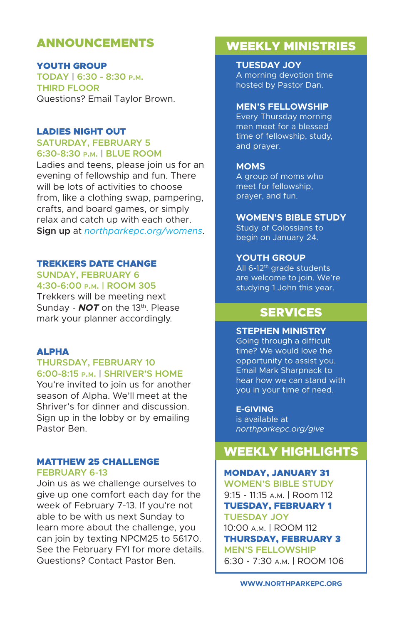# ANNOUNCEMENTS

YOUTH GROUP **TODAY | 6:30 - 8:30 p.m. THIRD FLOOR** Questions? Email Taylor Brown.

#### LADIES NIGHT OUT **SATURDAY, FEBRUARY 5**

**6:30-8:30 p.m. | BLUE ROOM**

Ladies and teens, please join us for an evening of fellowship and fun. There will be lots of activities to choose from, like a clothing swap, pampering, crafts, and board games, or simply relax and catch up with each other. **Sign up** at *northparkepc.org/womens*.

## TREKKERS DATE CHANGE

**SUNDAY, FEBRUARY 6 4:30-6:00 p.m. | ROOM 305**

Trekkers will be meeting next Sunday - **NOT** on the 13<sup>th</sup>. Please mark your planner accordingly.

## ALPHA

### **THURSDAY, FEBRUARY 10 6:00-8:15 p.m. | SHRIVER'S HOME**

You're invited to join us for another season of Alpha. We'll meet at the Shriver's for dinner and discussion. Sign up in the lobby or by emailing Pastor Ben.

### MATTHEW 25 CHALLENGE **FEBRUARY 6-13**

Join us as we challenge ourselves to give up one comfort each day for the week of February 7-13. If you're not able to be with us next Sunday to learn more about the challenge, you can join by texting NPCM25 to 56170. See the February FYI for more details. Questions? Contact Pastor Ben.

# WEEKLY MINISTRIES

**TUESDAY JOY** A morning devotion time hosted by Pastor Dan.

#### **MEN'S FELLOWSHIP**

Every Thursday morning men meet for a blessed time of fellowship, study, and prayer.

### **MOMS**

A group of moms who meet for fellowship, prayer, and fun.

## **WOMEN'S BIBLE STUDY**

Study of Colossians to begin on January 24.

### **YOUTH GROUP**

All  $6-12$ <sup>th</sup> grade students are welcome to join. We're studying 1 John this year.

# SERVICES

## **STEPHEN MINISTRY**

Going through a difficult time? We would love the opportunity to assist you. Email Mark Sharpnack to hear how we can stand with you in your time of need.

### **E-GIVING**

is available at *northparkepc.org/give*

## WEEKLY HIGHLIGHTS

### MONDAY, JANUARY 31

**WOMEN'S BIBLE STUDY** 9:15 - 11:15 a.m. | Room 112 TUESDAY, FEBRUARY 1 **TUESDAY JOY** 10:00 a.m. | ROOM 112 THURSDAY, FEBRUARY 3 **MEN'S FELLOWSHIP** 6:30 - 7:30 a.m. | ROOM 106